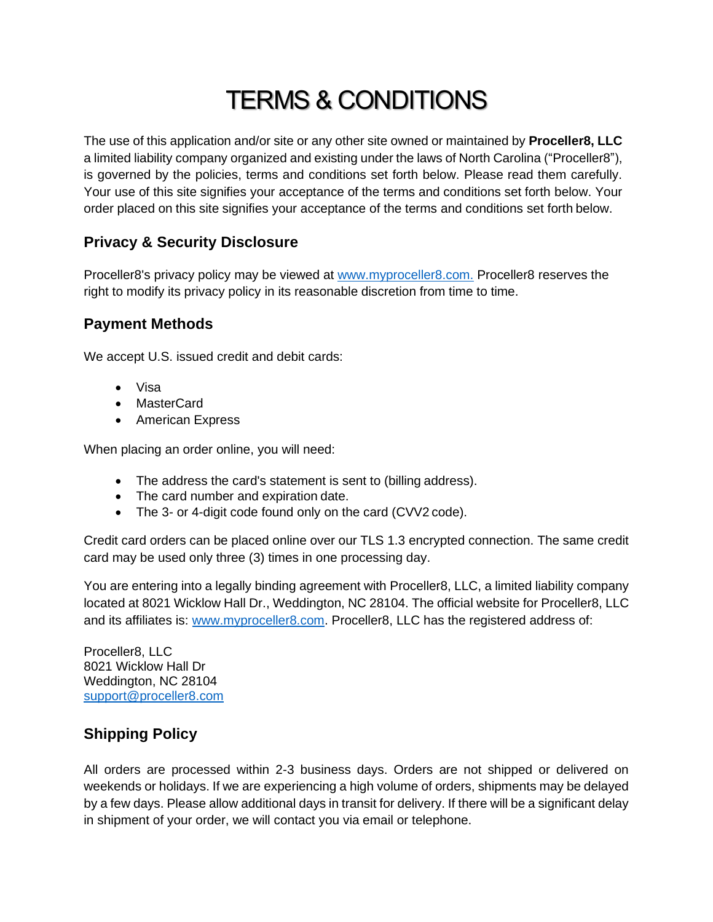# TERMS & CONDITIONS

The use of this application and/or site or any other site owned or maintained by **Proceller8, LLC** a limited liability company organized and existing under the laws of North Carolina ("Proceller8"), is governed by the policies, terms and conditions set forth below. Please read them carefully. Your use of this site signifies your acceptance of the terms and conditions set forth below. Your order placed on this site signifies your acceptance of the terms and conditions set forth below.

## **Privacy & Security Disclosure**

Proceller8's privacy policy may be viewed at [www.myproceller8.com.](http://www.myproceller8.com./) Proceller8 reserves the right to modify its privacy policy in its reasonable discretion from time to time.

## **Payment Methods**

We accept U.S. issued credit and debit cards:

- Visa
- MasterCard
- American Express

When placing an order online, you will need:

- The address the card's statement is sent to (billing address).
- The card number and expiration date.
- The 3- or 4-digit code found only on the card (CVV2 code).

Credit card orders can be placed online over our TLS 1.3 encrypted connection. The same credit card may be used only three (3) times in one processing day.

You are entering into a legally binding agreement with Proceller8, LLC, a limited liability company located at 8021 Wicklow Hall Dr., Weddington, NC 28104. The official website for Proceller8, LLC and its affiliates is: [www.myproceller8.com.](http://www.myproceller8.com/) Proceller8, LLC has the registered address of:

Proceller8, LLC 8021 Wicklow Hall Dr Weddington, NC 28104 [support@proceller8.com](mailto:support@proceller8.com)

# **Shipping Policy**

All orders are processed within 2-3 business days. Orders are not shipped or delivered on weekends or holidays. If we are experiencing a high volume of orders, shipments may be delayed by a few days. Please allow additional days in transit for delivery. If there will be a significant delay in shipment of your order, we will contact you via email or telephone.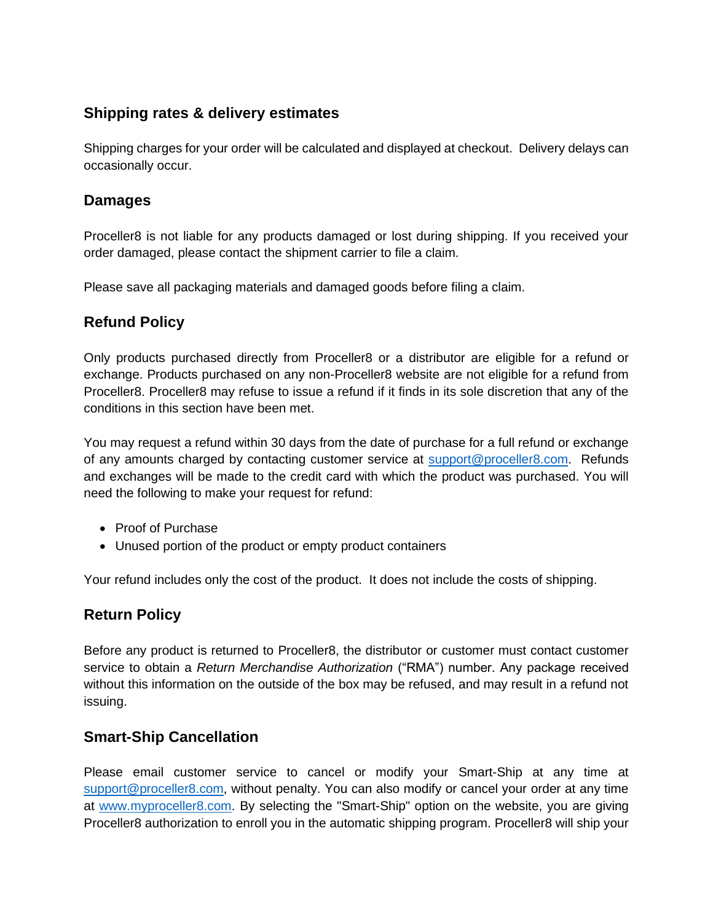## **Shipping rates & delivery estimates**

Shipping charges for your order will be calculated and displayed at checkout. Delivery delays can occasionally occur.

#### **Damages**

Proceller8 is not liable for any products damaged or lost during shipping. If you received your order damaged, please contact the shipment carrier to file a claim.

Please save all packaging materials and damaged goods before filing a claim.

#### **Refund Policy**

Only products purchased directly from Proceller8 or a distributor are eligible for a refund or exchange. Products purchased on any non-Proceller8 website are not eligible for a refund from Proceller8. Proceller8 may refuse to issue a refund if it finds in its sole discretion that any of the conditions in this section have been met.

You may request a refund within 30 days from the date of purchase for a full refund or exchange of any amounts charged by contacting customer service at [support@proceller8.com.](mailto:support@proceller8.com) Refunds and exchanges will be made to the credit card with which the product was purchased. You will need the following to make your request for refund:

- Proof of Purchase
- Unused portion of the product or empty product containers

Your refund includes only the cost of the product. It does not include the costs of shipping.

## **Return Policy**

Before any product is returned to Proceller8, the distributor or customer must contact customer service to obtain a *Return Merchandise Authorization* ("RMA") number. Any package received without this information on the outside of the box may be refused, and may result in a refund not issuing.

#### **Smart-Ship Cancellation**

Please email customer service to cancel or modify your Smart-Ship at any time at [support@proceller8.com,](mailto:support@proceller8.com) without penalty. You can also modify or cancel your order at any time at [www.myproceller8.com.](http://www.myproceller8.com/) By selecting the "Smart-Ship" option on the website, you are giving Proceller8 authorization to enroll you in the automatic shipping program. Proceller8 will ship your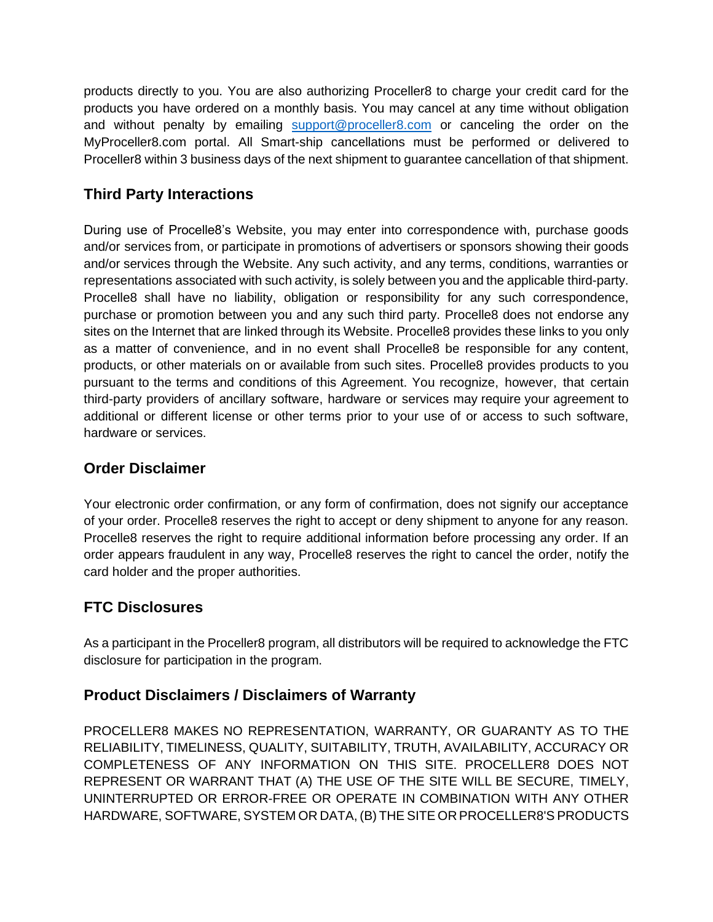products directly to you. You are also authorizing Proceller8 to charge your credit card for the products you have ordered on a monthly basis. You may cancel at any time without obligation and without penalty by emailing [support@proceller8.com](mailto:support@proceller8.com) or canceling the order on the MyProceller8.com portal. All Smart-ship cancellations must be performed or delivered to Proceller8 within 3 business days of the next shipment to guarantee cancellation of that shipment.

# **Third Party Interactions**

During use of Procelle8's Website, you may enter into correspondence with, purchase goods and/or services from, or participate in promotions of advertisers or sponsors showing their goods and/or services through the Website. Any such activity, and any terms, conditions, warranties or representations associated with such activity, is solely between you and the applicable third-party. Procelle8 shall have no liability, obligation or responsibility for any such correspondence, purchase or promotion between you and any such third party. Procelle8 does not endorse any sites on the Internet that are linked through its Website. Procelle8 provides these links to you only as a matter of convenience, and in no event shall Procelle8 be responsible for any content, products, or other materials on or available from such sites. Procelle8 provides products to you pursuant to the terms and conditions of this Agreement. You recognize, however, that certain third-party providers of ancillary software, hardware or services may require your agreement to additional or different license or other terms prior to your use of or access to such software, hardware or services.

## **Order Disclaimer**

Your electronic order confirmation, or any form of confirmation, does not signify our acceptance of your order. Procelle8 reserves the right to accept or deny shipment to anyone for any reason. Procelle8 reserves the right to require additional information before processing any order. If an order appears fraudulent in any way, Procelle8 reserves the right to cancel the order, notify the card holder and the proper authorities.

# **FTC Disclosures**

As a participant in the Proceller8 program, all distributors will be required to acknowledge the FTC disclosure for participation in the program.

## **Product Disclaimers / Disclaimers of Warranty**

PROCELLER8 MAKES NO REPRESENTATION, WARRANTY, OR GUARANTY AS TO THE RELIABILITY, TIMELINESS, QUALITY, SUITABILITY, TRUTH, AVAILABILITY, ACCURACY OR COMPLETENESS OF ANY INFORMATION ON THIS SITE. PROCELLER8 DOES NOT REPRESENT OR WARRANT THAT (A) THE USE OF THE SITE WILL BE SECURE, TIMELY, UNINTERRUPTED OR ERROR-FREE OR OPERATE IN COMBINATION WITH ANY OTHER HARDWARE, SOFTWARE, SYSTEM OR DATA, (B) THE SITE OR PROCELLER8'S PRODUCTS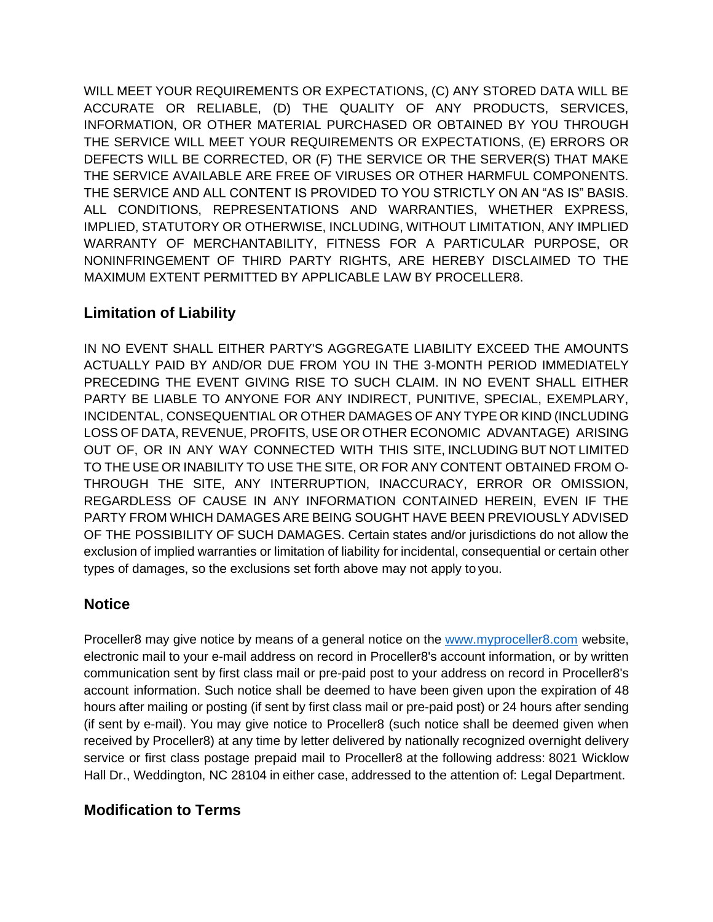WILL MEET YOUR REQUIREMENTS OR EXPECTATIONS, (C) ANY STORED DATA WILL BE ACCURATE OR RELIABLE, (D) THE QUALITY OF ANY PRODUCTS, SERVICES, INFORMATION, OR OTHER MATERIAL PURCHASED OR OBTAINED BY YOU THROUGH THE SERVICE WILL MEET YOUR REQUIREMENTS OR EXPECTATIONS, (E) ERRORS OR DEFECTS WILL BE CORRECTED, OR (F) THE SERVICE OR THE SERVER(S) THAT MAKE THE SERVICE AVAILABLE ARE FREE OF VIRUSES OR OTHER HARMFUL COMPONENTS. THE SERVICE AND ALL CONTENT IS PROVIDED TO YOU STRICTLY ON AN "AS IS" BASIS. ALL CONDITIONS, REPRESENTATIONS AND WARRANTIES, WHETHER EXPRESS, IMPLIED, STATUTORY OR OTHERWISE, INCLUDING, WITHOUT LIMITATION, ANY IMPLIED WARRANTY OF MERCHANTABILITY, FITNESS FOR A PARTICULAR PURPOSE, OR NONINFRINGEMENT OF THIRD PARTY RIGHTS, ARE HEREBY DISCLAIMED TO THE MAXIMUM EXTENT PERMITTED BY APPLICABLE LAW BY PROCELLER8.

## **Limitation of Liability**

IN NO EVENT SHALL EITHER PARTY'S AGGREGATE LIABILITY EXCEED THE AMOUNTS ACTUALLY PAID BY AND/OR DUE FROM YOU IN THE 3-MONTH PERIOD IMMEDIATELY PRECEDING THE EVENT GIVING RISE TO SUCH CLAIM. IN NO EVENT SHALL EITHER PARTY BE LIABLE TO ANYONE FOR ANY INDIRECT, PUNITIVE, SPECIAL, EXEMPLARY, INCIDENTAL, CONSEQUENTIAL OR OTHER DAMAGES OF ANY TYPE OR KIND (INCLUDING LOSS OF DATA, REVENUE, PROFITS, USE OR OTHER ECONOMIC ADVANTAGE) ARISING OUT OF, OR IN ANY WAY CONNECTED WITH THIS SITE, INCLUDING BUT NOT LIMITED TO THE USE OR INABILITY TO USE THE SITE, OR FOR ANY CONTENT OBTAINED FROM O-THROUGH THE SITE, ANY INTERRUPTION, INACCURACY, ERROR OR OMISSION, REGARDLESS OF CAUSE IN ANY INFORMATION CONTAINED HEREIN, EVEN IF THE PARTY FROM WHICH DAMAGES ARE BEING SOUGHT HAVE BEEN PREVIOUSLY ADVISED OF THE POSSIBILITY OF SUCH DAMAGES. Certain states and/or jurisdictions do not allow the exclusion of implied warranties or limitation of liability for incidental, consequential or certain other types of damages, so the exclusions set forth above may not apply to you.

## **Notice**

Proceller8 may give notice by means of a general notice on the [www.myproceller8.com](http://www.myproceller8.com/) website, electronic mail to your e-mail address on record in Proceller8's account information, or by written communication sent by first class mail or pre-paid post to your address on record in Proceller8's account information. Such notice shall be deemed to have been given upon the expiration of 48 hours after mailing or posting (if sent by first class mail or pre-paid post) or 24 hours after sending (if sent by e-mail). You may give notice to Proceller8 (such notice shall be deemed given when received by Proceller8) at any time by letter delivered by nationally recognized overnight delivery service or first class postage prepaid mail to Proceller8 at the following address: 8021 Wicklow Hall Dr., Weddington, NC 28104 in either case, addressed to the attention of: Legal Department.

#### **Modification to Terms**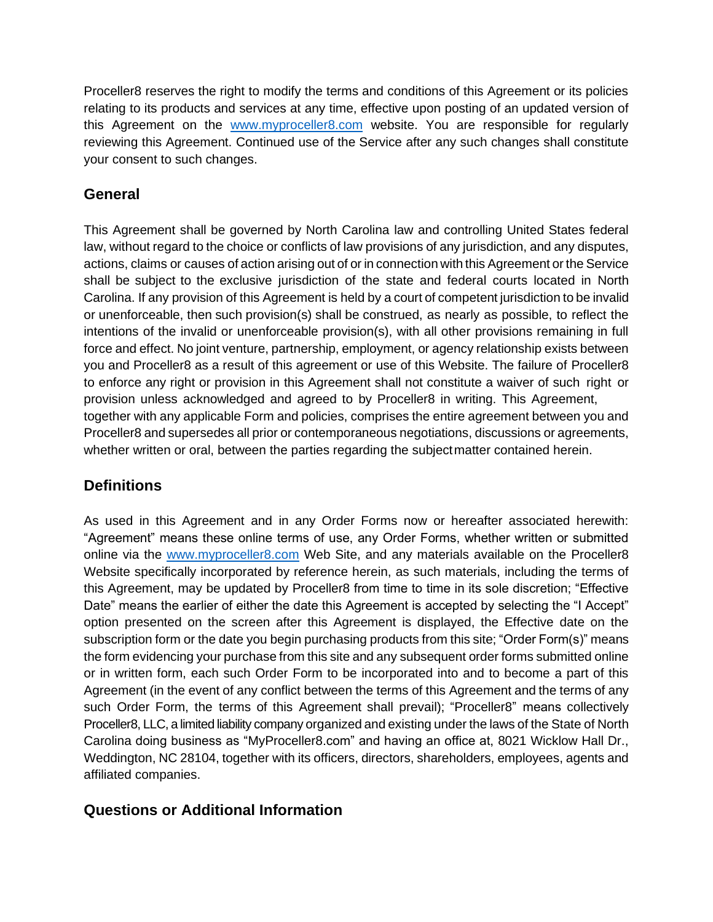Proceller8 reserves the right to modify the terms and conditions of this Agreement or its policies relating to its products and services at any time, effective upon posting of an updated version of this Agreement on the [www.myproceller8.com](http://www.myproceller8.com/) website. You are responsible for regularly reviewing this Agreement. Continued use of the Service after any such changes shall constitute your consent to such changes.

## **General**

This Agreement shall be governed by North Carolina law and controlling United States federal law, without regard to the choice or conflicts of law provisions of any jurisdiction, and any disputes, actions, claims or causes of action arising out of or in connection with this Agreement or the Service shall be subject to the exclusive jurisdiction of the state and federal courts located in North Carolina. If any provision of this Agreement is held by a court of competent jurisdiction to be invalid or unenforceable, then such provision(s) shall be construed, as nearly as possible, to reflect the intentions of the invalid or unenforceable provision(s), with all other provisions remaining in full force and effect. No joint venture, partnership, employment, or agency relationship exists between you and Proceller8 as a result of this agreement or use of this Website. The failure of Proceller8 to enforce any right or provision in this Agreement shall not constitute a waiver of such right or provision unless acknowledged and agreed to by Proceller8 in writing. This Agreement, together with any applicable Form and policies, comprises the entire agreement between you and Proceller8 and supersedes all prior or contemporaneous negotiations, discussions or agreements, whether written or oral, between the parties regarding the subjectmatter contained herein.

# **Definitions**

As used in this Agreement and in any Order Forms now or hereafter associated herewith: "Agreement" means these online terms of use, any Order Forms, whether written or submitted online via the [www.myproceller8.com](http://www.myproceller8.com/) Web Site, and any materials available on the Proceller8 Website specifically incorporated by reference herein, as such materials, including the terms of this Agreement, may be updated by Proceller8 from time to time in its sole discretion; "Effective Date" means the earlier of either the date this Agreement is accepted by selecting the "I Accept" option presented on the screen after this Agreement is displayed, the Effective date on the subscription form or the date you begin purchasing products from this site; "Order Form(s)" means the form evidencing your purchase from this site and any subsequent order forms submitted online or in written form, each such Order Form to be incorporated into and to become a part of this Agreement (in the event of any conflict between the terms of this Agreement and the terms of any such Order Form, the terms of this Agreement shall prevail); "Proceller8" means collectively Proceller8, LLC, a limited liability company organized and existing under the laws of the State of North Carolina doing business as "MyProceller8.com" and having an office at, 8021 Wicklow Hall Dr., Weddington, NC 28104, together with its officers, directors, shareholders, employees, agents and affiliated companies.

## **Questions or Additional Information**